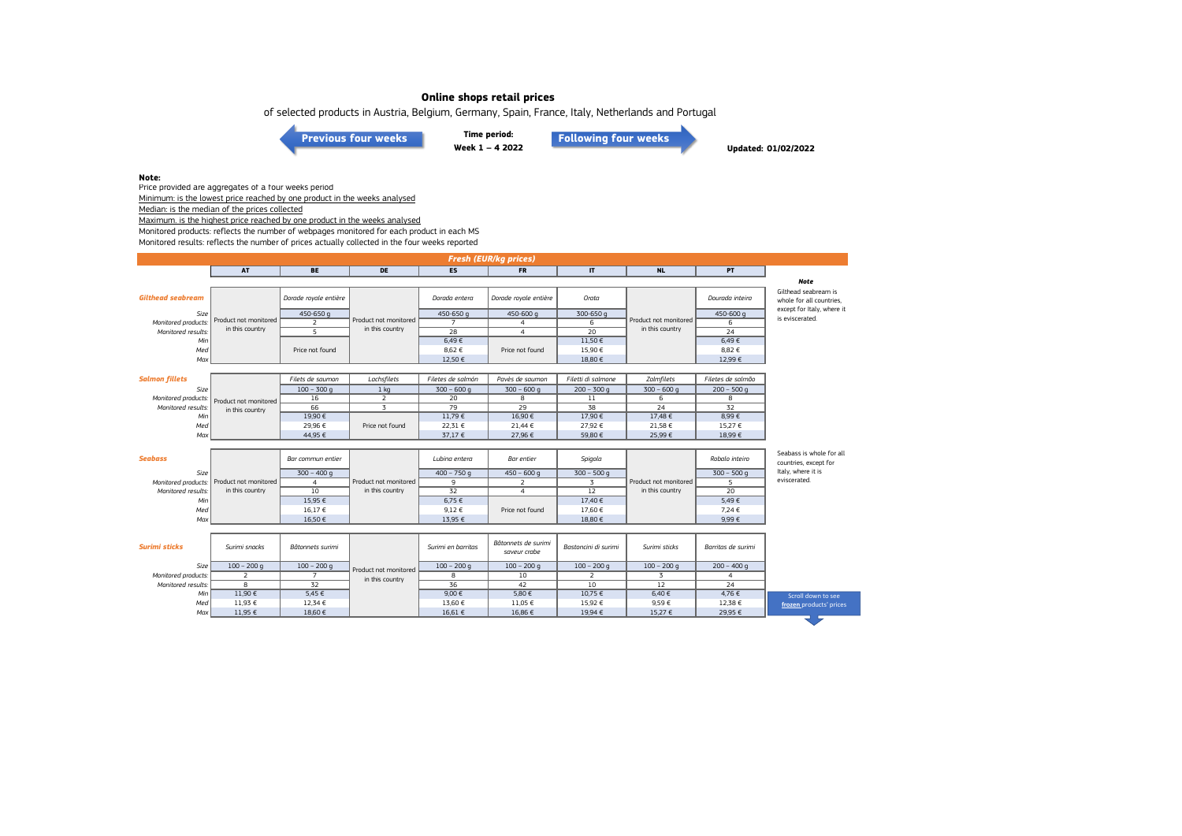of selected products in Austria, Belgium, Germany, Spain, France, Italy, Netherlands and Portugal

**Time period: Week 1 – 4 2022 [Previous four weeks](https://www.eumofa.eu/documents/20178/475610/W49-52_2021.pdf/fa1e2669-d0c4-1637-ef42-38d4651dc60b?t=1641828210540) [Following four weeks](https://www.eumofa.eu/documents/20178/487668/W5-8_2022.pdf/3572ebda-382f-5c40-e638-6a295432d915?t=1646059482628)**

**Updated: 01/02/2022**

### **Note:**

Price provided are aggregates of a four weeks period Minimum: is the lowest price reached by one product in the weeks analysed

Median: is the median of the prices collected

Maximum. is the highest price reached by one product in the weeks analysed

Monitored products: reflects the number of webpages monitored for each product in each MS

Monitored results: reflects the number of prices actually collected in the four weeks reported

| <b>Fresh (EUR/kg prices)</b> |                       |                       |                       |                    |                                     |                      |                       |                    |                                                   |  |
|------------------------------|-----------------------|-----------------------|-----------------------|--------------------|-------------------------------------|----------------------|-----------------------|--------------------|---------------------------------------------------|--|
|                              | <b>AT</b>             | <b>BE</b>             | DE                    | <b>ES</b>          | <b>FR</b>                           | $\mathbf{I}$         | <b>NL</b>             | <b>PT</b>          |                                                   |  |
|                              |                       |                       |                       |                    |                                     |                      |                       |                    | Note                                              |  |
| <b>Gilthead seabream</b>     |                       | Dorade royale entière |                       | Dorada entera      | Dorade royale entière               | Orata                |                       | Dourada inteira    | Gilthead seabream is<br>whole for all countries.  |  |
| Size                         |                       | 450-650 g             |                       | 450-650 g          | 450-600 g                           | 300-650 g            |                       | 450-600 g          | except for Italy, where it                        |  |
| Monitored products:          | Product not monitored | 2                     | Product not monitored | $\overline{7}$     | $\overline{4}$                      | 6                    | Product not monitored | 6                  | is eviscerated.                                   |  |
| Monitored results:           | in this country       | द                     | in this country       | 28                 | $\overline{4}$                      | $\overline{20}$      | in this country       | $\overline{24}$    |                                                   |  |
| Min                          |                       |                       |                       | 6,49€              |                                     | 11.50€               |                       | 6,49€              |                                                   |  |
| Med                          |                       | Price not found       |                       | 8,62 €             | Price not found                     | 15,90 €              |                       | 8,82 €             |                                                   |  |
| Max                          |                       |                       |                       | 12,50 €            |                                     | 18,80 €              |                       | 12,99 €            |                                                   |  |
|                              |                       |                       |                       |                    |                                     |                      |                       |                    |                                                   |  |
| <b>Salmon fillets</b>        |                       | Filets de saumon      | Lachsfilets           | Filetes de salmón  | Pavès de saumon                     | Filetti di salmone   | Zalmfilets            | Filetes de salmão  |                                                   |  |
| Size                         |                       | $100 - 300$ q         | $1$ kg                | $300 - 600q$       | $300 - 600q$                        | $200 - 300$ q        | $300 - 600q$          | $200 - 500$ q      |                                                   |  |
| Monitored products:          | Product not monitored | 16                    | $\overline{2}$        | 20                 | 8                                   | $11\,$               | 6                     | 8                  |                                                   |  |
| Monitored results:           | in this country       | 66                    | $\overline{3}$        | 79                 | 29                                  | 38                   | 24                    | $\overline{32}$    |                                                   |  |
| Min                          |                       | 19,90€                |                       | 11,79€             | 16,90€                              | 17,90€               | 17,48 €               | 8,99€              |                                                   |  |
| Med                          |                       | 29,96 €               | Price not found       | 22,31 €            | 21,44 €                             | 27,92 €              | 21,58 €               | 15,27 €            |                                                   |  |
| Max                          |                       | 44,95 €               |                       | 37,17 €            | 27,96 €                             | 59,80 €              | 25,99€                | 18,99€             |                                                   |  |
|                              |                       |                       |                       |                    |                                     |                      |                       |                    |                                                   |  |
| <b>Seabass</b>               |                       | Bar commun entier     |                       | Lubina entera      | Bar entier                          | Spigola              |                       | Robalo inteiro     | Seabass is whole for all<br>countries, except for |  |
| Size                         |                       | $300 - 400q$          |                       | $400 - 750q$       | $450 - 600$ q                       | $300 - 500$ g        |                       | $300 - 500$ q      | Italy, where it is                                |  |
| Monitored products:          | Product not monitored | $\overline{a}$        | Product not monitored | 9                  | $\overline{2}$                      | $\overline{3}$       | Product not monitored | 5                  | eviscerated.                                      |  |
| Monitored results:           | in this country       | 10                    | in this country       | $\overline{32}$    | $\overline{4}$                      | $\overline{12}$      | in this country       | $\overline{20}$    |                                                   |  |
| Min                          |                       | 15,95 €               |                       | 6,75 €             |                                     | 17,40 €              |                       | 5,49€              |                                                   |  |
| Med                          |                       | 16.17€                |                       | 9.12€              | Price not found                     | 17.60€               |                       | 7.24 €             |                                                   |  |
| Max                          |                       | 16,50 €               |                       | 13,95 €            |                                     | 18,80 €              |                       | 9,99€              |                                                   |  |
|                              |                       |                       |                       |                    |                                     |                      |                       |                    |                                                   |  |
| <b>Surimi sticks</b>         | Surimi snacks         | Bâtonnets surimi      |                       | Surimi en barritas | Bâtonnets de surimi<br>saveur crabe | Bastoncini di surimi | Surimi sticks         | Barritas de surimi |                                                   |  |
| Size                         | $100 - 200$ q         | $100 - 200$ q         | Product not monitored | $100 - 200$ q      | $100 - 200$ q                       | $100 - 200$ g        | $100 - 200$ g         | $200 - 400$ q      |                                                   |  |
| Monitored products:          | $\overline{2}$        | $\overline{7}$        | in this country       | $\overline{8}$     | 10                                  | $\overline{2}$       | $\overline{3}$        | $\overline{4}$     |                                                   |  |
| Monitored results:           | 8                     | 32                    |                       | 36                 | 42                                  | 10                   | 12                    | 24                 |                                                   |  |
| Min                          | 11,90 €               | 5,45 €                |                       | 9,00 €             | 5,80€                               | 10,75 €              | 6,40 €                | 4,76 €             | Scroll down to see                                |  |
| Med                          | 11,93 €               | 12,34 €               |                       | 13,60 €            | 11,05 €                             | 15,92 €              | 9,59€                 | 12,38 €            | frozen products' prices                           |  |
| Max                          | 11,95 €               | 18,60 €               |                       | 16,61 €            | 16,86 €                             | 19,94 €              | 15,27 €               | 29,95 €            |                                                   |  |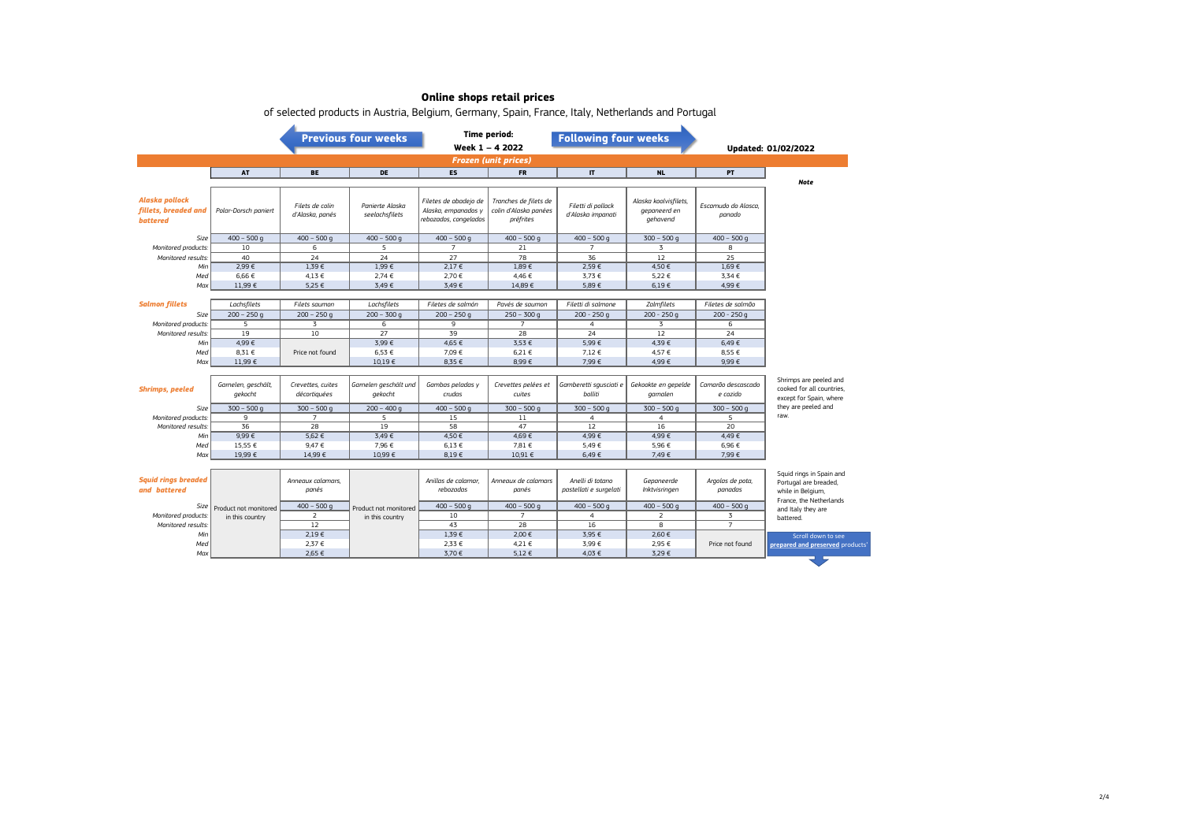|                                                           |                       |                                    | <b>Previous four weeks</b>        | <b>Time period:</b><br>Week 1 - 4 2022                                |                                                             | <b>Following four weeks</b>                |                                                   |                               |                                                                                                   |  |
|-----------------------------------------------------------|-----------------------|------------------------------------|-----------------------------------|-----------------------------------------------------------------------|-------------------------------------------------------------|--------------------------------------------|---------------------------------------------------|-------------------------------|---------------------------------------------------------------------------------------------------|--|
|                                                           |                       |                                    |                                   |                                                                       |                                                             |                                            |                                                   |                               | Updated: 01/02/2022                                                                               |  |
| <b>Frozen (unit prices)</b>                               |                       |                                    |                                   |                                                                       |                                                             |                                            |                                                   |                               |                                                                                                   |  |
|                                                           | <b>AT</b>             | <b>BE</b>                          | <b>DE</b>                         | <b>ES</b>                                                             | <b>FR</b>                                                   | $\mathbf{I}$                               | <b>NL</b>                                         | PT                            |                                                                                                   |  |
|                                                           |                       |                                    |                                   |                                                                       |                                                             |                                            |                                                   |                               | <b>Note</b>                                                                                       |  |
| Alaska pollock<br>fillets, breaded and<br><b>battered</b> | Polar-Dorsch paniert  | Filets de colin<br>d'Alaska, panés | Panierte Alaska<br>seelachsfilets | Filetes de abadejo de<br>Alaska, empanados y<br>rebozados, congelados | Tranches de filets de<br>colin d'Alaska panées<br>préfrites | Filetti di pollack<br>d'Alaska impanati    | Alaska koolvisfilets,<br>gepaneerd en<br>gehavend | Escamudo do Alasca.<br>panado |                                                                                                   |  |
| Size                                                      | $400 - 500$ q         | $400 - 500q$                       | $400 - 500$ g                     | $400 - 500$ q                                                         | $400 - 500$ q                                               | $400 - 500$ q                              | $300 - 500$ q                                     | $400 - 500$ g                 |                                                                                                   |  |
| Monitored products:                                       | 10                    | 6                                  | 5                                 | $\overline{7}$                                                        | 21                                                          | $\overline{7}$                             | 3                                                 | 8                             |                                                                                                   |  |
| Monitored results:                                        | 40                    | $\overline{24}$                    | $\overline{24}$                   | 27                                                                    | 78                                                          | 36                                         | $\overline{12}$                                   | 25                            |                                                                                                   |  |
| Min                                                       | 2.99€                 | 1.39€                              | 1.99E                             | $2.17 \in$                                                            | 1.89€                                                       | 2.59€                                      | 4.50€                                             | 1.69E                         |                                                                                                   |  |
| Med                                                       | 6.66€                 | 4,13 €                             | 2.74E                             | 2,70 €                                                                | 4,46€                                                       | 3,73 €                                     | 5,22 €                                            | 3,34 €                        |                                                                                                   |  |
| Max                                                       | 11,99 €               | 5,25 €                             | 3,49€                             | 3,49€                                                                 | 14,89€                                                      | 5,89€                                      | $6,19 \in$                                        | 4,99€                         |                                                                                                   |  |
|                                                           |                       |                                    |                                   |                                                                       |                                                             |                                            |                                                   |                               |                                                                                                   |  |
| <b>Salmon fillets</b>                                     | Lachsfilets           | Filets saumon                      | Lachsfilets                       | Filetes de salmón                                                     | Pavés de saumon                                             | Filetti di salmone                         | Zalmfilets                                        | Filetes de salmão             |                                                                                                   |  |
| Size                                                      | $200 - 250q$          | $200 - 250$ q                      | $200 - 300q$                      | $200 - 250$ q                                                         | $250 - 300$ q                                               | $200 - 250q$                               | $200 - 250q$                                      | $200 - 250q$                  |                                                                                                   |  |
| Monitored products:                                       | 5                     | 3                                  | 6                                 | 9                                                                     | $\overline{7}$                                              | $\overline{4}$                             | 3                                                 | 6                             |                                                                                                   |  |
| Monitored results:                                        | 19                    | 10                                 | 27                                | 39                                                                    | 28                                                          | 24                                         | 12                                                | 24                            |                                                                                                   |  |
| Min                                                       | 4,99€                 |                                    | 3.99€                             | 4,65 €                                                                | 3,53 €                                                      | 5,99€                                      | 4,39€                                             | 6.49E                         |                                                                                                   |  |
| Med                                                       | 8.31 €                | Price not found                    | 6.53 €                            | 7,09€                                                                 | 6.21€                                                       | 7,12 €                                     | 4,57 €                                            | 8.55 €                        |                                                                                                   |  |
| Max                                                       | 11,99 €               |                                    | 10,19€                            | 8,35 €                                                                | 8,99€                                                       | 7,99€                                      | 4,99€                                             | 9,99€                         |                                                                                                   |  |
|                                                           |                       |                                    |                                   |                                                                       |                                                             |                                            |                                                   |                               |                                                                                                   |  |
| <b>Shrimps, peeled</b>                                    | Garnelen, geschält,   | Crevettes, cuites                  | Garnelen geschält und             | Gambas peladas y                                                      | Crevettes pelées et                                         | Gamberetti squsciati e                     | Gekookte en gepelde                               | Camarão descascado            | Shrimps are peeled and<br>cooked for all countries.                                               |  |
|                                                           | gekocht               | décortiquées                       | gekocht                           | crudas                                                                | cuites                                                      | bolliti                                    | garnalen                                          | e cozido                      | except for Spain, where                                                                           |  |
| Size                                                      | $300 - 500$ q         | $300 - 500$ q                      | $200 - 400q$                      | $400 - 500$ g                                                         | $300 - 500$ q                                               | $300 - 500$ q                              | $300 - 500$ q                                     | $300 - 500$ q                 | they are peeled and                                                                               |  |
| Monitored products:                                       | 9                     | $\overline{7}$                     | 5                                 | 15                                                                    | 11                                                          | $\overline{4}$                             | 4                                                 | 5                             | raw.                                                                                              |  |
| Monitored results:                                        | 36                    | 28                                 | 19                                | 58                                                                    | 47                                                          | 12                                         | 16                                                | 20                            |                                                                                                   |  |
| Min                                                       | $9,99 \in$            | 5,62€                              | 3,49€                             | 4,50 €                                                                | 4,69€                                                       | 4,99€                                      | 4,99€                                             | 4,49€                         |                                                                                                   |  |
| Med                                                       | 15,55 €               | 9,47€                              | 7,96 €                            | $6,13 \in$                                                            | 7,81 €                                                      | 5,49€                                      | 5,96 €                                            | 6,96€                         |                                                                                                   |  |
| Max                                                       | 19,99€                | 14,99€                             | 10,99€                            | 8,19€                                                                 | 10,91€                                                      | 6,49€                                      | 7,49 €                                            | 7,99€                         |                                                                                                   |  |
|                                                           |                       |                                    |                                   |                                                                       |                                                             |                                            |                                                   |                               |                                                                                                   |  |
| <b>Squid rings breaded</b><br>and battered                |                       | Annegux calamars.<br>panés         |                                   | Anillas de calamar<br>rebozadas                                       | Annegux de calamars<br>panés                                | Anelli di totano<br>pastellati e surgelati | Gepaneerde<br>Inktvisringen                       | Argolas de pota,<br>panadas   | Squid rings in Spain and<br>Portugal are breaded,<br>while in Belgium,<br>France, the Netherlands |  |
| Size                                                      | Product not monitored | $400 - 500q$                       | Product not monitored             | $400 - 500$ g                                                         | $400 - 500$ g                                               | $400 - 500$ q                              | $400 - 500$ g                                     | $400 - 500$ g                 | and Italy they are                                                                                |  |
| Monitored products:                                       | in this country       | $\overline{2}$                     | in this country                   | 10                                                                    | $\overline{7}$                                              | 4                                          | 2                                                 | 3                             | battered.                                                                                         |  |
| Monitored results:                                        |                       | 12                                 |                                   | 43                                                                    | 28                                                          | 16                                         | 8                                                 | $\overline{7}$                |                                                                                                   |  |

*Min* | 2,19€ | 2,19 € | 2,00€ | 3,95 € | 2,60 €

*Max* | 2,65 € | 3,70 € | 5,12 € | 4,03 € | 3,29 €

*Med* | 2,37 € | 2,33 € | 2,33 € | 4,21 € | 3,99 € | 2,95 € | Price not found

of selected products in Austria, Belgium, Germany, Spain, France, Italy, Netherlands and Portugal

Scroll down to see **prepared and preserved** products'

ਰ ਸ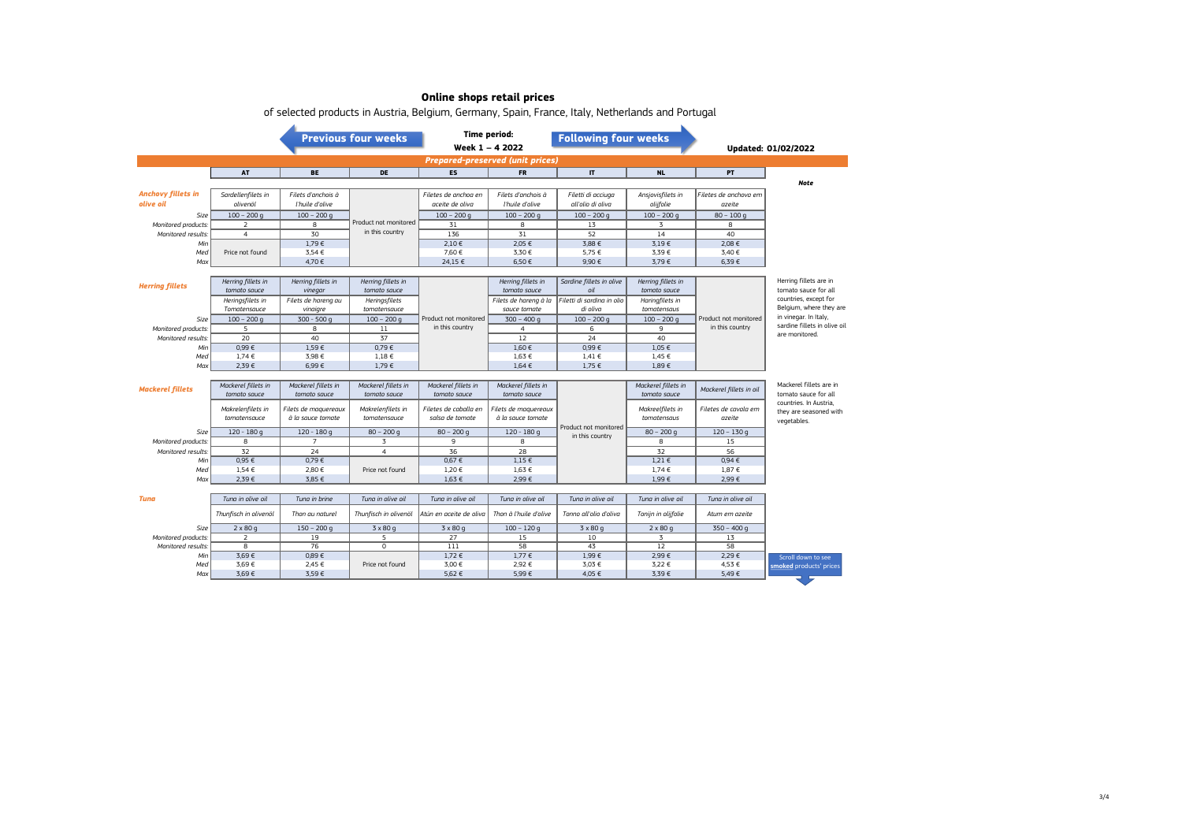|                                         |                                    |                               | <b>Time period:</b><br><b>Previous four weeks</b><br>Week 1 - 4 2022 |                         | <b>Following four weeks</b>        |                                 |                                    | Updated: 01/02/2022     |                                                  |  |
|-----------------------------------------|------------------------------------|-------------------------------|----------------------------------------------------------------------|-------------------------|------------------------------------|---------------------------------|------------------------------------|-------------------------|--------------------------------------------------|--|
| <b>Prepared-preserved (unit prices)</b> |                                    |                               |                                                                      |                         |                                    |                                 |                                    |                         |                                                  |  |
|                                         | AT                                 | BE                            | DE                                                                   | <b>ES</b>               | <b>FR</b>                          | IT.                             | <b>NL</b>                          | PT                      |                                                  |  |
|                                         |                                    |                               |                                                                      |                         |                                    |                                 |                                    |                         | <b>Note</b>                                      |  |
| <b>Anchovy fillets in</b>               | Sardellenfilets in                 | Filets d'anchois à            |                                                                      | Filetes de anchoa en    | Filets d'anchois à                 | Filetti di acciuga              | Ansjovisfilets in                  | Filetes de anchova em   |                                                  |  |
| olive oil                               | olivenöl                           | l'huile d'olive               |                                                                      | aceite de oliva         | l'huile d'olive                    | all'olio di oliva               | olijfolie                          | azeite                  |                                                  |  |
| Size                                    | $100 - 200$ q                      | $100 - 200$ q                 |                                                                      | $100 - 200$ q           | $100 - 200$ q                      | $100 - 200$ q                   | $100 - 200$ q                      | $80 - 100q$             |                                                  |  |
| Monitored products.                     | 2                                  | 8                             | Product not monitored                                                | 31                      | 8                                  | 13                              | 3                                  | 8                       |                                                  |  |
| Monitored results.                      | $\overline{4}$                     | 30                            | in this country                                                      | 136                     | 31                                 | 52                              | 14                                 | 40                      |                                                  |  |
| Min                                     |                                    | 1.79€                         |                                                                      | 2,10E                   | 2.05€                              | 3.88 €                          | 3.19E                              | 2.08€                   |                                                  |  |
| Med                                     | Price not found                    | 3,54 €                        |                                                                      | 7,60 €                  | 3,30€                              | 5,75 €                          | 3,39€                              | 3,40 €                  |                                                  |  |
| Max                                     |                                    | 4,70€                         |                                                                      | 24,15 €                 | 6,50€                              | 9,90€                           | 3,79€                              | 6,39€                   |                                                  |  |
|                                         |                                    |                               |                                                                      |                         |                                    |                                 |                                    |                         | Herring fillets are in                           |  |
| <b>Herring fillets</b>                  | Herring fillets in<br>tomato sauce | Herring fillets in<br>vinegar | Herring fillets in<br>tomato sauce                                   |                         | Herring fillets in<br>tomato sauce | Sardine fillets in olive<br>oil | Herring fillets in<br>tomato sauce |                         | tomato sauce for all                             |  |
|                                         | Heringsfilets in                   | Filets de hareng au           | Heringsfilets                                                        |                         | Filets de hareng à la              | Filetti di sardina in olio      | Haringfilets in                    |                         | countries, except for                            |  |
|                                         | Tomatensauce                       | vinaigre                      | tomatensauce                                                         |                         | sauce tomate                       | di oliva                        | tomatensaus                        |                         | Belgium, where they are                          |  |
| Size                                    | $100 - 200 g$                      | $300 - 500 g$                 | $100 - 200$ q                                                        | Product not monitored   | $300 - 400q$                       | $100 - 200$ g                   | $100 - 200$ g                      | Product not monitored   | in vinegar. In Italy,                            |  |
| Monitored products.                     | 5                                  | 8                             | 11                                                                   | in this country         | $\overline{4}$                     | 6                               | 9                                  | in this country         | sardine fillets in olive oil                     |  |
| Monitored results.                      | 20                                 | 40                            | 37                                                                   |                         | 12                                 | 24                              | 40                                 |                         | are monitored.                                   |  |
| Min                                     | 0.99E                              | $1,59 \in$                    | 0,79€                                                                |                         | 1,60 €                             | 0.99€                           | $1.05 \in$                         |                         |                                                  |  |
| Med                                     | $1,74 \in$                         | 3,98€                         | $1,18 \in$                                                           |                         | 1,63 €                             | $1.41 \in$                      | 1,45 €                             |                         |                                                  |  |
| Max                                     | 2,39€                              | 6,99€                         | $1,79 \in$                                                           |                         | $1,64 \in$                         | $1,75 \in$                      | 1,89€                              |                         |                                                  |  |
|                                         |                                    |                               |                                                                      |                         |                                    |                                 |                                    |                         |                                                  |  |
| <b>Mackerel fillets</b>                 | Mackerel fillets in                | Mackerel fillets in           | Mackerel fillets in                                                  | Mackerel fillets in     | Mackerel fillets in                |                                 | Mackerel fillets in                | Mackerel fillets in oil | Mackerel fillets are in                          |  |
|                                         | tomato sauce                       | tomato sauce                  | tomato sauce                                                         | tomato sauce            | tomato sauce                       |                                 | tomato sauce                       |                         | tomato sauce for all                             |  |
|                                         | Makrelenfilets in                  | Filets de maquereaux          | Makrelenfilets in                                                    | Filetes de caballa en   | Filets de maguereaux               |                                 | Makreelfilets in                   | Filetes de cavala em    | countries. In Austria,<br>they are seasoned with |  |
|                                         | tomatensauce                       | à la sauce tomate             | tomatensauce                                                         | salsa de tomate         | à la sauce tomate                  |                                 | tomatensaus                        | azeite                  | vegetables.                                      |  |
| Size                                    | $120 - 180g$                       | $120 - 180q$                  | $80 - 200$ g                                                         | $80 - 200$ g            | $120 - 180q$                       | Product not monitored           | $80 - 200$ g                       | $120 - 130q$            |                                                  |  |
| Monitored products.                     | 8                                  | $\overline{7}$                | 3                                                                    | 9                       | 8                                  | in this country                 | 8                                  | 15                      |                                                  |  |
| Monitored results.                      | 32                                 | 24                            | $\overline{4}$                                                       | 36                      | 28                                 |                                 | 32                                 | 56                      |                                                  |  |
| Min                                     | 0.95 €                             | 0,79€                         |                                                                      | 0,67 €                  | $1,15 \in$                         |                                 | 1,21 €                             | 0,94€                   |                                                  |  |
| Med                                     | $1,54 \in$                         | 2,80€                         | Price not found                                                      | 1,20€                   | 1,63 €                             |                                 | 1,74 €                             | 1,87 €                  |                                                  |  |
| Max                                     | 2,39€                              | 3,85 €                        |                                                                      | 1,63 €                  | 2,99€                              |                                 | 1,99€                              | 2,99€                   |                                                  |  |
|                                         |                                    |                               |                                                                      |                         |                                    |                                 |                                    |                         |                                                  |  |
| Tuna                                    | Tung in olive oil                  | Tung in brine                 | Tung in olive oil                                                    | Tung in olive oil       | Tung in olive oil                  | Tung in olive oil               | Tuna in olive oil                  | Tung in olive oil       |                                                  |  |
|                                         | Thunfisch in olivenöl              | Thon au naturel               | Thunfisch in olivenöl                                                | Atún en aceite de oliva | Thon à l'huile d'olive             | Tonno all'olio d'oliva          | Tonijn in olijfolie                | Atum em azeite          |                                                  |  |
| Size                                    | $2 \times 80 g$                    | $150 - 200$ g                 | 3 x 80 g                                                             | $3 \times 80$ g         | $100 - 120$ g                      | $3 \times 80$ g                 | $2 \times 80 g$                    | $350 - 400$ q           |                                                  |  |
| Monitored products.                     | 2                                  | 19                            | 5                                                                    | 27                      | 15                                 | 10                              | 3                                  | 13                      |                                                  |  |
| Monitored results.                      | 8                                  | 76                            | $\circ$                                                              | 111                     | 58                                 | 43                              | 12                                 | 58                      |                                                  |  |
| Min                                     | 3,69€                              | 0,89€                         |                                                                      | 1,72 €                  | 1,77 €                             | 1,99€                           | 2,99€                              | 2,29€                   | Scroll down to see                               |  |
| Med                                     | 3,69€                              | 2,45 €                        | Price not found                                                      | 3,00 €                  | 2,92 €                             | 3,03 €                          | 3,22 €                             | 4,53 €                  | smoked products' prices                          |  |
| Max                                     | 3,69€                              | 3,59€                         |                                                                      | 5,62 €                  | 5,99€                              | 4,05 €                          | 3,39€                              | 5,49€                   |                                                  |  |

of selected products in Austria, Belgium, Germany, Spain, France, Italy, Netherlands and Portugal